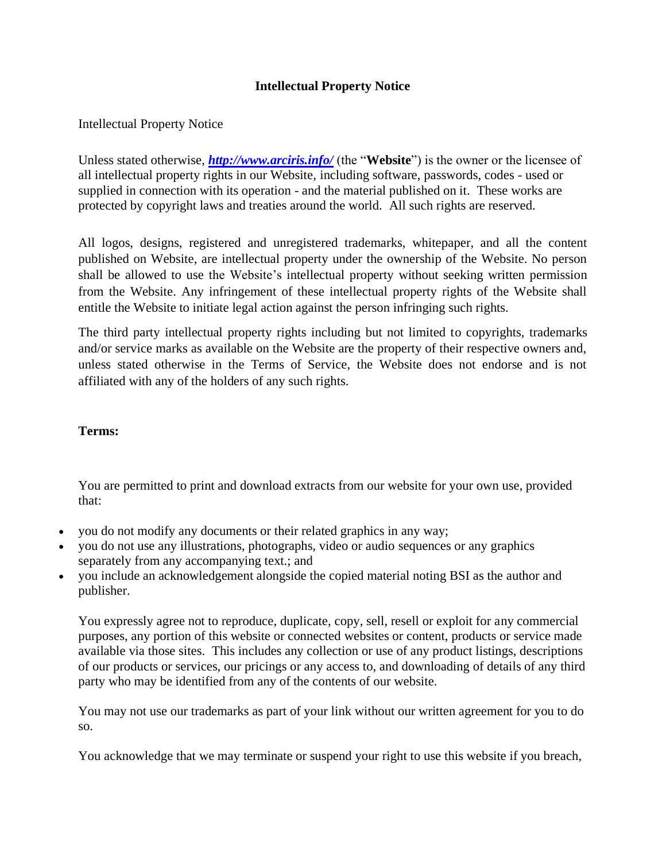## **Intellectual Property Notice**

## Intellectual Property Notice

Unless stated otherwise, *<http://www.arciris.info/>* (the "**Website**") is the owner or the licensee of all intellectual property rights in our Website, including software, passwords, codes - used or supplied in connection with its operation - and the material published on it. These works are protected by copyright laws and treaties around the world. All such rights are reserved.

All logos, designs, registered and unregistered trademarks, whitepaper, and all the content published on Website, are intellectual property under the ownership of the Website. No person shall be allowed to use the Website's intellectual property without seeking written permission from the Website. Any infringement of these intellectual property rights of the Website shall entitle the Website to initiate legal action against the person infringing such rights.

The third party intellectual property rights including but not limited to copyrights, trademarks and/or service marks as available on the Website are the property of their respective owners and, unless stated otherwise in the Terms of Service, the Website does not endorse and is not affiliated with any of the holders of any such rights.

## **Terms:**

You are permitted to print and download extracts from our website for your own use, provided that:

- you do not modify any documents or their related graphics in any way;
- you do not use any illustrations, photographs, video or audio sequences or any graphics separately from any accompanying text.; and
- you include an acknowledgement alongside the copied material noting BSI as the author and publisher.

You expressly agree not to reproduce, duplicate, copy, sell, resell or exploit for any commercial purposes, any portion of this website or connected websites or content, products or service made available via those sites. This includes any collection or use of any product listings, descriptions of our products or services, our pricings or any access to, and downloading of details of any third party who may be identified from any of the contents of our website.

You may not use our trademarks as part of your link without our written agreement for you to do so.

You acknowledge that we may terminate or suspend your right to use this website if you breach,